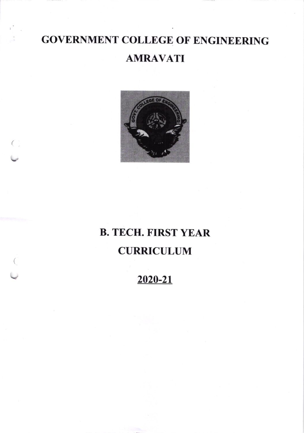# **GOVERNMENT COLLEGE OF ENGINEERING AMRAVATI**



 $\left( \begin{array}{c} \cdot \end{array} \right)$ 

## **B. TECH. FIRST YEAR CURRICULUM**

### 2020-21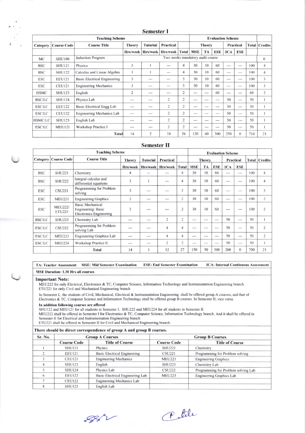|                                                    |                    |                                     |                | UVIILJIVI I                      |                |                |               |         |           |          |          |                      |                |
|----------------------------------------------------|--------------------|-------------------------------------|----------------|----------------------------------|----------------|----------------|---------------|---------|-----------|----------|----------|----------------------|----------------|
| <b>Teaching Scheme</b><br><b>Evaluation Scheme</b> |                    |                                     |                |                                  |                |                |               |         |           |          |          |                      |                |
| Category                                           | <b>Course Code</b> | <b>Course Title</b>                 | <b>Theory</b>  | <b>Tutorial</b>                  | Practical      |                | <b>Theory</b> |         | Practical |          |          | <b>Total Credits</b> |                |
|                                                    |                    |                                     | Hrs/week       | Hrs/week                         | Hrs/week       | <b>Total</b>   | <b>MSE</b>    | TA      | ESE       | ICA      | ESE      |                      |                |
| <b>MC</b>                                          | <b>SHU100</b>      | <b>Induction Program</b>            |                | Two weeks mandatory audit course |                |                |               |         |           | $\Omega$ |          |                      |                |
| <b>BSC</b>                                         | <b>SHU121</b>      | Physics                             | 3              |                                  | $-$            | 4              | 30            | 10      | 60        | ---      | $- - -$  | 100                  | $\overline{4}$ |
| <b>BSC</b>                                         | <b>SHU122</b>      | Calculus and Linear Algebra         | 3              |                                  | $- - -$        | 4              | 30            | 10      | 60        | ---      | ---      | 100                  | $\overline{4}$ |
| <b>ESC</b>                                         | <b>EEU121</b>      | <b>Basic Electrical Engineering</b> | 3              | ---                              | $-$            | 3              | 30            | 10      | 60        | ---      | $---$    | 100                  | 3              |
| <b>ESC</b>                                         | <b>CEU121</b>      | <b>Engineering Mechanics</b>        | 3              |                                  | $- - -$        | 3              | 30            | 10      | 60        | $- - -$  | $- - -$  | 100                  | 3              |
| <b>HSMC</b>                                        | <b>SHU123</b>      | English                             | $\overline{2}$ | $---$                            | ---            | 2              | $---$         | $---$   | 60        | ---      | $---$    | 60                   | $\overline{2}$ |
| <b>BSC/LC</b>                                      | <b>SHU124</b>      | Physics Lab                         | ---            | $- - -$                          | $\overline{2}$ | $\overline{c}$ | $- - -$       | $- - -$ | ---       | 50       | ---      | 50                   |                |
| <b>ESC/LC</b>                                      | <b>EEU122</b>      | Basic Electrical Engg Lab           | ---            | $- - -$                          | $\overline{2}$ | $\overline{c}$ | $- - -$       | $- - -$ | ---       | 50       | $- - -$  | 50                   | 1              |
| <b>ESC/LC</b>                                      | <b>CEU122</b>      | Engineering Mechanics Lab           | $- - -$        | $\cdots$                         | 2              | 2              | ---           | $- - -$ | ---       | 50       | $---$    | 50                   | 1              |
| <b>HSMC/LC</b>                                     | <b>SHU125</b>      | English Lab                         | ---            | $- - -$                          | 2              | $\overline{2}$ | $-$           |         | ---       | 50       | $---$    | 50                   | 1              |
| ESC/LC                                             | <b>MEU121</b>      | <b>Workshop Practice I</b>          | ---            | $- - -$                          | $\overline{2}$ | $\overline{c}$ | $- - -$       | $m = m$ | $- - -$   | 50       | $---$    | 50                   |                |
|                                                    |                    | <b>Total</b>                        | 14             | $\overline{c}$                   | 10             | 26             | 120           | 40      | 300       | 250      | $\Omega$ | 710                  | 21             |
|                                                    |                    |                                     |                |                                  |                |                |               |         |           |          |          |                      |                |

Semester I

#### **Semester II**

| <b>Teaching Scheme</b> |                                 |                                                                                |               |                 |           |                |                            |         | <b>Evaluation Scheme</b> |                      |                |     |                |
|------------------------|---------------------------------|--------------------------------------------------------------------------------|---------------|-----------------|-----------|----------------|----------------------------|---------|--------------------------|----------------------|----------------|-----|----------------|
| Category               | <b>Course Code</b>              | <b>Course Title</b>                                                            | <b>Theory</b> | <b>Tutorial</b> | Practical |                | <b>Theory</b><br>Practical |         |                          | <b>Total Credits</b> |                |     |                |
|                        |                                 |                                                                                | Hrs/week      | Hrs/week        | Hrs/week  | <b>Total</b>   | <b>MSE</b>                 | TA      | <b>ESE</b>               | <b>ICA</b>           | <b>ESE</b>     |     |                |
| <b>BSC</b>             | <b>SHU221</b>                   | Chemistry                                                                      | 4             | $\frac{1}{2}$   | ---       | 4              | 30                         | 10      | 60                       | $- - -$              | $-$            | 100 | $\overline{4}$ |
| <b>BSC</b>             | <b>SHU222</b>                   | Integral calculus and<br>differential equations                                | 3             |                 | ---       | 4              | 30                         | 10      | 60                       | $- - -$              | $- - -$        | 100 | 4              |
| <b>ESC</b>             | <b>CSU221</b>                   | Programming for Problem<br>solving                                             | 3             | $- - -$         | ---       | 3              | 30                         | 10      | 60                       | $- - -$              | $- - -$        | 100 | 3              |
| <b>ESC</b>             | <b>MEU221</b>                   | <b>Engineering Graphics</b>                                                    | 2             | $- - -$         | ---       | $\overline{c}$ | 30                         | 10      | 60                       | $---$                | ---            | 100 | $\overline{c}$ |
| <b>ESC</b>             | <b>MEU222/</b><br><b>ETU221</b> | <b>Basic Mechanical</b><br>Engineering/Basic<br><b>Electronics Engineering</b> | 2             | $- - -$         | $- - -$   | $\overline{2}$ | 30                         | 10      | 60                       | $- - -$              | ---            | 100 | $\overline{2}$ |
| <b>BSC/LC</b>          | <b>SHU223</b>                   | Chemistry Lab                                                                  |               | ---             | 2         | $\overline{2}$ | $- - -$                    | $m = m$ | $- - -$                  | 50                   | $---$          | 50  |                |
| ESC/LC                 | <b>CSU222</b>                   | Programming for Problem<br>solving Lab                                         | $- - -$       | ---             | 4         | $\overline{4}$ | ---                        | $- - -$ | ---                      | 50                   | $- - -$        | 50  | $\overline{c}$ |
| <b>ESC/LC</b>          | <b>MEU223</b>                   | Engineering Graphics Lab                                                       | $- - -$       | $- - -$         | 4         | 4              | ---                        | ---     | $- - -$                  | 50                   | $- - -$        | 50  | $\overline{2}$ |
| ESC/LC                 | <b>MEU224</b>                   | Workshop Practice II                                                           | $- - -$       | $---$           | 2         | $\overline{2}$ | ---                        | $---$   | ---                      | 50                   | $\cdots$       | 50  |                |
|                        |                                 | <b>Total</b>                                                                   | 14            |                 | 12        | 27             | 150                        | 50      | 300                      | 200                  | $\overline{0}$ | 700 | 21             |

**MSE Duration: 1.30 Hrs all courses Important Note:** MEU222 for only Electrical, Electronics & TC, Computer Science, Information Technology and Instrumentation Engineering branch ETU221 for only Civil and Mechanical Engineering branch In Semester I, the students of Civil, Mechanical, Electrical & Instrumentation Engineering shall be offered group A courses, and that of

**ESE: End Semester Examination** 

**ICA: Internal Continuous Assessment** 

Electronics & TC, Computer Science and Information Technology shall be offered group B courses. In Semester II, vice versa.

In addition following courses are offered

TA: Teacher Assessment

 $\frac{1}{\pi} \sum_{i=1}^N$ 

SHU122 and MEU121 for all students in Semester I. SHU222 and MEU224 for all students in Semester II.

MEU222 shall be offered in Semester I for Electronics & TC, Computer Science, Information Technology branch. And it shall be offered in

Semester II for Electrical and Instrumentation Engineering branch<br>ETU221 shall be offered in Semester II for Civil and Mechanical Engineering branch.

**MSE: Mid Semester Examination** 

| There should be direct correspondence of group A and group B courses. |  |  |  |  |  |  |
|-----------------------------------------------------------------------|--|--|--|--|--|--|
|-----------------------------------------------------------------------|--|--|--|--|--|--|

| Sr. No. |                    | <b>Group A Courses</b>              |                    | <b>Group B Courses</b>              |
|---------|--------------------|-------------------------------------|--------------------|-------------------------------------|
|         | <b>Course Code</b> | <b>Title of Course</b>              | <b>Course Code</b> | <b>Title of Course</b>              |
|         | <b>SHU121</b>      | Physics                             | <b>SHU221</b>      | Chemistry                           |
|         | <b>EEU121</b>      | <b>Basic Electrical Engineering</b> | <b>CSU221</b>      | Programming for Problem solving     |
|         | <b>CEU121</b>      | <b>Engineering Mechanics</b>        | <b>MEU221</b>      | <b>Engineering Graphics</b>         |
|         | <b>SHU123</b>      | English                             | <b>SHU223</b>      | Chemistry Lab                       |
|         | <b>SHU124</b>      | Physics Lab                         | <b>CSU222</b>      | Programming for Problem solving Lab |
|         | <b>EEU122</b>      | Basic Electrical Engineering Lab    | <b>MEU223</b>      | Engineering Graphics Lab            |
|         | <b>CEU122</b>      | Engineering Mechanics Lab           |                    |                                     |
|         | <b>SHU125</b>      | English Lab                         |                    |                                     |

 $882$ 

Petele